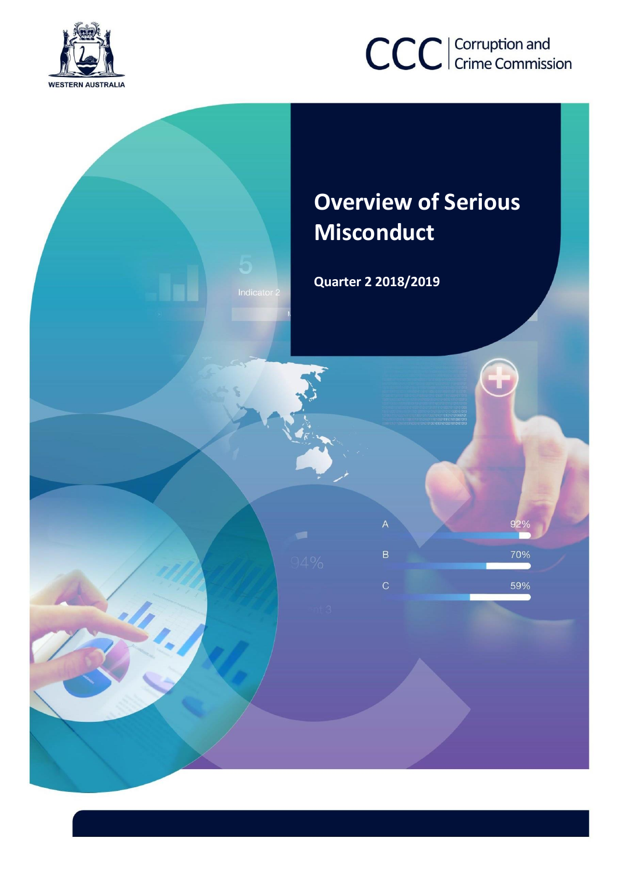

# CCC | Corruption and

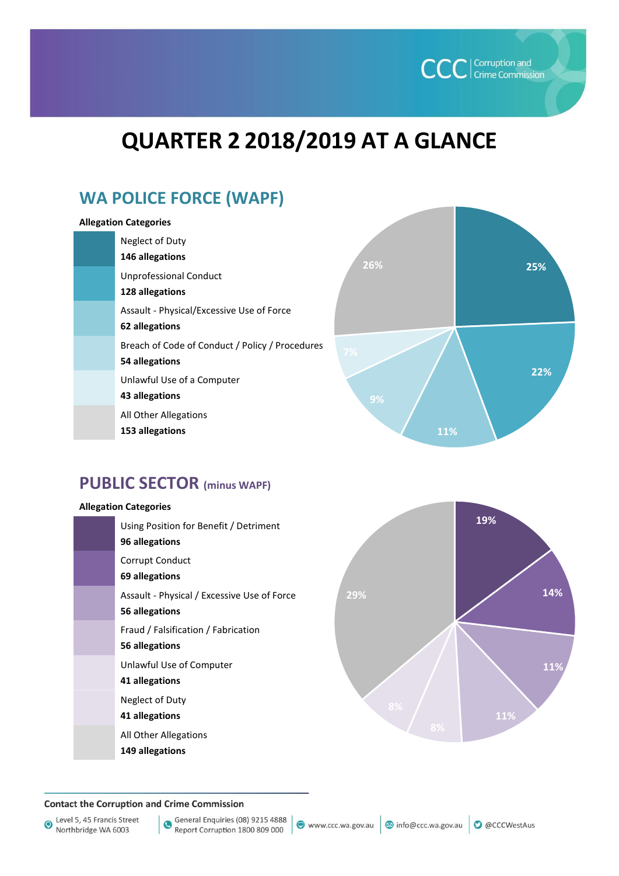

# **QUARTER 2 2018/2019 AT A GLANCE**

## **WA POLICE FORCE (WAPF)**

#### **Allegation Categories**

| Neglect of Duty<br>146 allegations                                |
|-------------------------------------------------------------------|
| <b>Unprofessional Conduct</b><br>128 allegations                  |
| Assault - Physical/Excessive Use of Force<br>62 allegations       |
| Breach of Code of Conduct / Policy / Procedures<br>54 allegations |
| Unlawful Use of a Computer<br>43 allegations                      |
| All Other Allegations                                             |



#### **PUBLIC SECTOR (minus WAPF)**

**153 allegations** 

#### **Allegation Categories**

Using Position for Benefit / Detriment **96 allegations** Corrupt Conduct **69 allegations** Assault - Physical / Excessive Use of Force **56 allegations** Fraud / Falsification / Fabrication **56 allegations** Unlawful Use of Computer **41 allegations** Neglect of Duty **41 allegations** All Other Allegations **149 allegations** 



#### **Contact the Corruption and Crime Commission**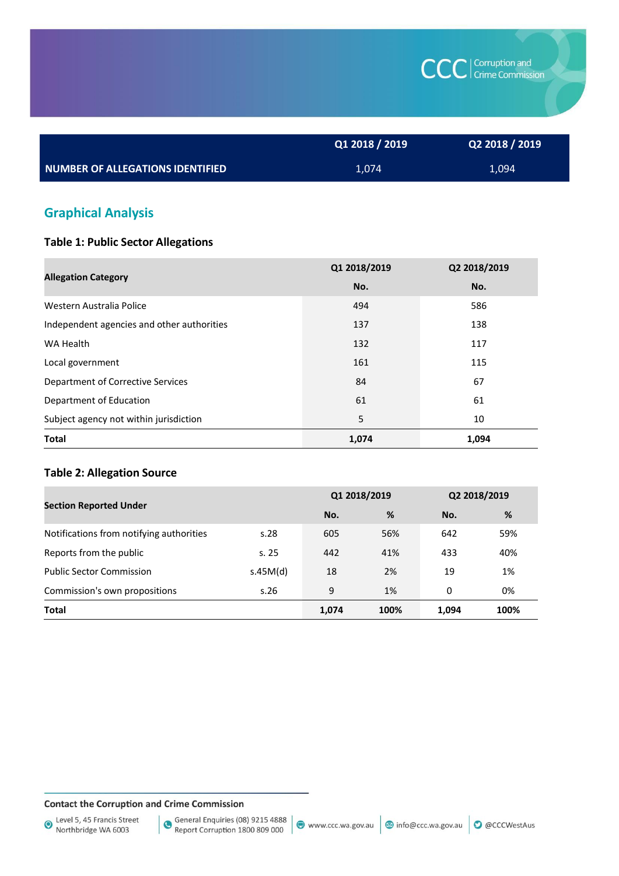|                                  | Q1 2018 / 2019 | Q2 2018 / 2019 |
|----------------------------------|----------------|----------------|
| NUMBER OF ALLEGATIONS IDENTIFIED | 1.074          | 1.094          |

### **Graphical Analysis**

#### **Table 1: Public Sector Allegations**

|                                            | Q1 2018/2019 | Q2 2018/2019 |
|--------------------------------------------|--------------|--------------|
| <b>Allegation Category</b>                 | No.          | No.          |
| Western Australia Police                   | 494          | 586          |
| Independent agencies and other authorities | 137          | 138          |
| WA Health                                  | 132          | 117          |
| Local government                           | 161          | 115          |
| Department of Corrective Services          | 84           | 67           |
| Department of Education                    | 61           | 61           |
| Subject agency not within jurisdiction     | 5            | 10           |
| <b>Total</b>                               | 1,074        | 1,094        |

#### **Table 2: Allegation Source**

| <b>Section Reported Under</b>            |          | Q1 2018/2019 |      | Q2 2018/2019 |      |
|------------------------------------------|----------|--------------|------|--------------|------|
|                                          |          | No.          | %    | No.          | %    |
| Notifications from notifying authorities | s.28     | 605          | 56%  | 642          | 59%  |
| Reports from the public                  | s.25     | 442          | 41%  | 433          | 40%  |
| <b>Public Sector Commission</b>          | s.45M(d) | 18           | 2%   | 19           | 1%   |
| Commission's own propositions            | s.26     | 9            | 1%   | 0            | 0%   |
| <b>Total</b>                             |          | 1.074        | 100% | 1,094        | 100% |

**CCC** | Corruption and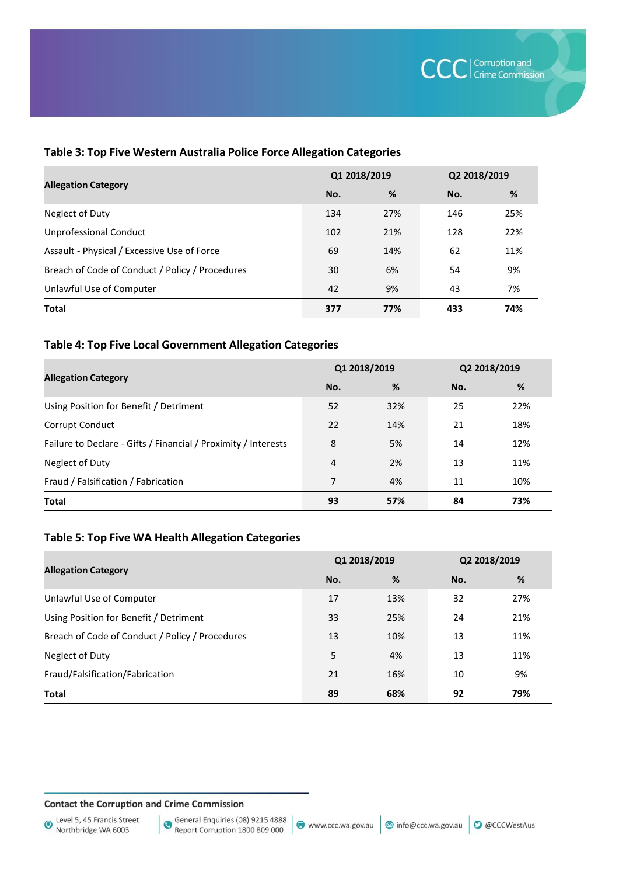|                                                 | Q1 2018/2019 |     | Q2 2018/2019 |     |
|-------------------------------------------------|--------------|-----|--------------|-----|
| <b>Allegation Category</b>                      | No.          | %   | No.          | %   |
| Neglect of Duty                                 | 134          | 27% | 146          | 25% |
| Unprofessional Conduct                          | 102          | 21% | 128          | 22% |
| Assault - Physical / Excessive Use of Force     | 69           | 14% | 62           | 11% |
| Breach of Code of Conduct / Policy / Procedures | 30           | 6%  | 54           | 9%  |
| Unlawful Use of Computer                        | 42           | 9%  | 43           | 7%  |
| <b>Total</b>                                    | 377          | 77% | 433          | 74% |

#### **Table 3: Top Five Western Australia Police Force Allegation Categories**

#### **Table 4: Top Five Local Government Allegation Categories**

|                                                                | Q1 2018/2019 |     | Q2 2018/2019 |     |
|----------------------------------------------------------------|--------------|-----|--------------|-----|
| <b>Allegation Category</b>                                     | No.          | %   | No.          | %   |
| Using Position for Benefit / Detriment                         | 52           | 32% | 25           | 22% |
| Corrupt Conduct                                                | 22           | 14% | 21           | 18% |
| Failure to Declare - Gifts / Financial / Proximity / Interests | 8            | 5%  | 14           | 12% |
| Neglect of Duty                                                | 4            | 2%  | 13           | 11% |
| Fraud / Falsification / Fabrication                            | 7            | 4%  | 11           | 10% |
| <b>Total</b>                                                   | 93           | 57% | 84           | 73% |

#### **Table 5: Top Five WA Health Allegation Categories**

|                                                 | Q1 2018/2019 |     | Q2 2018/2019 |     |
|-------------------------------------------------|--------------|-----|--------------|-----|
| <b>Allegation Category</b>                      | No.          | %   | No.          | %   |
| Unlawful Use of Computer                        | 17           | 13% | 32           | 27% |
| Using Position for Benefit / Detriment          | 33           | 25% | 24           | 21% |
| Breach of Code of Conduct / Policy / Procedures | 13           | 10% | 13           | 11% |
| Neglect of Duty                                 | 5            | 4%  | 13           | 11% |
| Fraud/Falsification/Fabrication                 | 21           | 16% | 10           | 9%  |
| <b>Total</b>                                    | 89           | 68% | 92           | 79% |

**Contact the Corruption and Crime Commission**